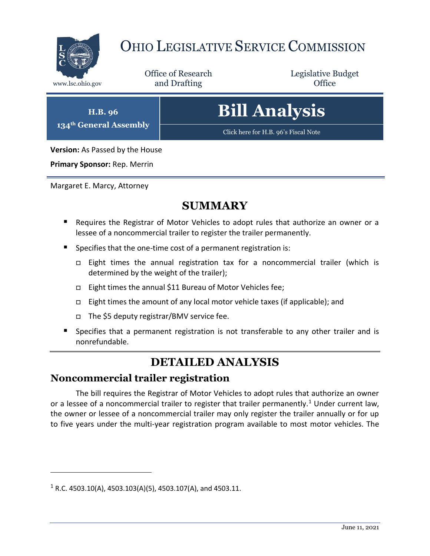

# OHIO LEGISLATIVE SERVICE COMMISSION

Office of Research www.lsc.ohio.gov **and Drafting Office** 

Legislative Budget

**H.B. 96 134th General Assembly**

# **Bill Analysis**

[Click here for H.B. 96](https://www.legislature.ohio.gov/legislation/legislation-documents?id=GA134-HB-96)'s Fiscal Note

**Version:** As Passed by the House

**Primary Sponsor:** Rep. Merrin

Margaret E. Marcy, Attorney

## **SUMMARY**

- Requires the Registrar of Motor Vehicles to adopt rules that authorize an owner or a lessee of a noncommercial trailer to register the trailer permanently.
- Specifies that the one-time cost of a permanent registration is:
	- □ Eight times the annual registration tax for a noncommercial trailer (which is determined by the weight of the trailer);
	- □ Eight times the annual \$11 Bureau of Motor Vehicles fee;
	- Eight times the amount of any local motor vehicle taxes (if applicable); and
	- The \$5 deputy registrar/BMV service fee.
- Specifies that a permanent registration is not transferable to any other trailer and is nonrefundable.

## **DETAILED ANALYSIS**

#### **Noncommercial trailer registration**

The bill requires the Registrar of Motor Vehicles to adopt rules that authorize an owner or a lessee of a noncommercial trailer to register that trailer permanently.<sup>1</sup> Under current law, the owner or lessee of a noncommercial trailer may only register the trailer annually or for up to five years under the multi-year registration program available to most motor vehicles. The

 $\overline{a}$ 

 $1 R.C. 4503.10(A), 4503.103(A)(5), 4503.107(A),$  and 4503.11.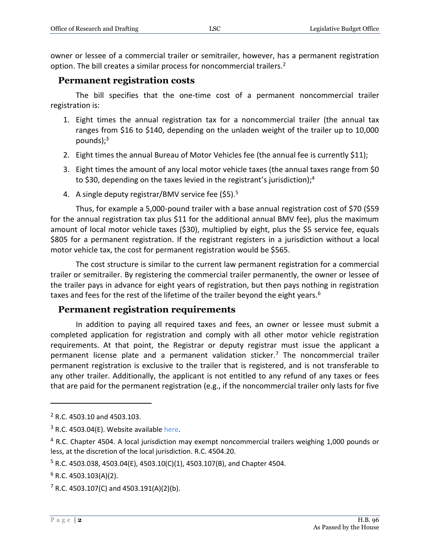owner or lessee of a commercial trailer or semitrailer, however, has a permanent registration option. The bill creates a similar process for noncommercial trailers.<sup>2</sup>

#### **Permanent registration costs**

The bill specifies that the one-time cost of a permanent noncommercial trailer registration is:

- 1. Eight times the annual registration tax for a noncommercial trailer (the annual tax ranges from \$16 to \$140, depending on the unladen weight of the trailer up to 10,000 pounds $;^{3}$
- 2. Eight times the annual Bureau of Motor Vehicles fee (the annual fee is currently \$11);
- 3. Eight times the amount of any local motor vehicle taxes (the annual taxes range from \$0 to \$30, depending on the taxes levied in the registrant's jurisdiction);<sup>4</sup>
- 4. A single deputy registrar/BMV service fee (\$5).<sup>5</sup>

Thus, for example a 5,000-pound trailer with a base annual registration cost of \$70 (\$59 for the annual registration tax plus \$11 for the additional annual BMV fee), plus the maximum amount of local motor vehicle taxes (\$30), multiplied by eight, plus the \$5 service fee, equals \$805 for a permanent registration. If the registrant registers in a jurisdiction without a local motor vehicle tax, the cost for permanent registration would be \$565.

The cost structure is similar to the current law permanent registration for a commercial trailer or semitrailer. By registering the commercial trailer permanently, the owner or lessee of the trailer pays in advance for eight years of registration, but then pays nothing in registration taxes and fees for the rest of the lifetime of the trailer beyond the eight years.<sup>6</sup>

#### **Permanent registration requirements**

In addition to paying all required taxes and fees, an owner or lessee must submit a completed application for registration and comply with all other motor vehicle registration requirements. At that point, the Registrar or deputy registrar must issue the applicant a permanent license plate and a permanent validation sticker.<sup>7</sup> The noncommercial trailer permanent registration is exclusive to the trailer that is registered, and is not transferable to any other trailer. Additionally, the applicant is not entitled to any refund of any taxes or fees that are paid for the permanent registration (e.g., if the noncommercial trailer only lasts for five

 $\overline{a}$ 

<sup>2</sup> R.C. 4503.10 and 4503.103.

 $3$  R.C. 4503.04(E). Website availabl[e here.](https://publicsafety.ohio.gov/static/bmv_non-commercial_trailer_registration_fees.pdf)

<sup>&</sup>lt;sup>4</sup> R.C. Chapter 4504. A local jurisdiction may exempt noncommercial trailers weighing 1,000 pounds or less, at the discretion of the local jurisdiction. R.C. 4504.20.

 $5$  R.C. 4503.038, 4503.04(E), 4503.10(C)(1), 4503.107(B), and Chapter 4504.

 $6$  R.C. 4503.103(A)(2).

 $7$  R.C. 4503.107(C) and 4503.191(A)(2)(b).